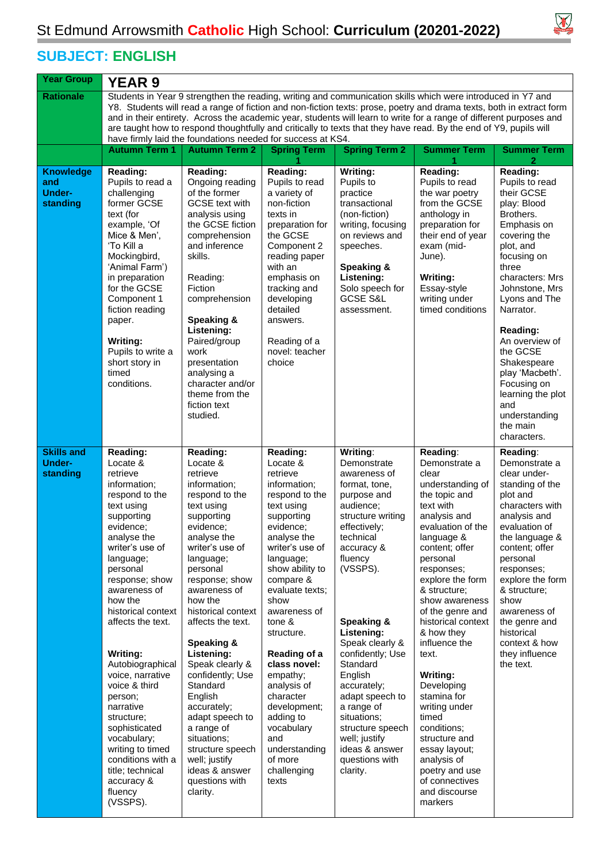## $\boxtimes$

## **SUBJECT: ENGLISH**

| <b>Year Group</b>                                    | <b>YEAR 9</b>                                                                                                                                                                                                                                                                                                                                                                                                                                                                                                                                  |                                                                                                                                                                                                                                                                                                                                                                                                                                                                                                              |                                                                                                                                                                                                                                                                                                                                                                                                                                             |                                                                                                                                                                                                                                                                                                                                                                                                                           |                                                                                                                                                                                                                                                                                                                                                                                                                                                                                                                                |                                                                                                                                                                                                                                                                                                                                                     |  |  |  |  |
|------------------------------------------------------|------------------------------------------------------------------------------------------------------------------------------------------------------------------------------------------------------------------------------------------------------------------------------------------------------------------------------------------------------------------------------------------------------------------------------------------------------------------------------------------------------------------------------------------------|--------------------------------------------------------------------------------------------------------------------------------------------------------------------------------------------------------------------------------------------------------------------------------------------------------------------------------------------------------------------------------------------------------------------------------------------------------------------------------------------------------------|---------------------------------------------------------------------------------------------------------------------------------------------------------------------------------------------------------------------------------------------------------------------------------------------------------------------------------------------------------------------------------------------------------------------------------------------|---------------------------------------------------------------------------------------------------------------------------------------------------------------------------------------------------------------------------------------------------------------------------------------------------------------------------------------------------------------------------------------------------------------------------|--------------------------------------------------------------------------------------------------------------------------------------------------------------------------------------------------------------------------------------------------------------------------------------------------------------------------------------------------------------------------------------------------------------------------------------------------------------------------------------------------------------------------------|-----------------------------------------------------------------------------------------------------------------------------------------------------------------------------------------------------------------------------------------------------------------------------------------------------------------------------------------------------|--|--|--|--|
| <b>Rationale</b>                                     | Students in Year 9 strengthen the reading, writing and communication skills which were introduced in Y7 and<br>Y8. Students will read a range of fiction and non-fiction texts: prose, poetry and drama texts, both in extract form<br>and in their entirety. Across the academic year, students will learn to write for a range of different purposes and<br>are taught how to respond thoughtfully and critically to texts that they have read. By the end of Y9, pupils will<br>have firmly laid the foundations needed for success at KS4. |                                                                                                                                                                                                                                                                                                                                                                                                                                                                                                              |                                                                                                                                                                                                                                                                                                                                                                                                                                             |                                                                                                                                                                                                                                                                                                                                                                                                                           |                                                                                                                                                                                                                                                                                                                                                                                                                                                                                                                                |                                                                                                                                                                                                                                                                                                                                                     |  |  |  |  |
|                                                      | <b>Autumn Term 1</b>                                                                                                                                                                                                                                                                                                                                                                                                                                                                                                                           | <b>Autumn Term 2</b>                                                                                                                                                                                                                                                                                                                                                                                                                                                                                         | <b>Spring Term</b>                                                                                                                                                                                                                                                                                                                                                                                                                          | <b>Spring Term 2</b>                                                                                                                                                                                                                                                                                                                                                                                                      | <b>Summer Term</b>                                                                                                                                                                                                                                                                                                                                                                                                                                                                                                             | <b>Summer Term</b><br>2                                                                                                                                                                                                                                                                                                                             |  |  |  |  |
| <b>Knowledge</b><br>and<br><b>Under-</b><br>standing | Reading:<br>Pupils to read a<br>challenging<br>former GCSE<br>text (for<br>example, 'Of<br>Mice & Men',<br>'To Kill a<br>Mockingbird,<br>'Animal Farm')<br>in preparation<br>for the GCSE<br>Component 1<br>fiction reading<br>paper.<br><b>Writing:</b><br>Pupils to write a<br>short story in<br>timed<br>conditions.                                                                                                                                                                                                                        | Reading:<br>Ongoing reading<br>of the former<br><b>GCSE</b> text with<br>analysis using<br>the GCSE fiction<br>comprehension<br>and inference<br>skills.<br>Reading:<br>Fiction<br>comprehension<br>Speaking &<br>Listening:<br>Paired/group<br>work<br>presentation<br>analysing a<br>character and/or<br>theme from the<br>fiction text<br>studied.                                                                                                                                                        | Reading:<br>Pupils to read<br>a variety of<br>non-fiction<br>texts in<br>preparation for<br>the GCSE<br>Component 2<br>reading paper<br>with an<br>emphasis on<br>tracking and<br>developing<br>detailed<br>answers.<br>Reading of a<br>novel: teacher<br>choice                                                                                                                                                                            | Writing:<br>Pupils to<br>practice<br>transactional<br>(non-fiction)<br>writing, focusing<br>on reviews and<br>speeches.<br>Speaking &<br>Listening:<br>Solo speech for<br><b>GCSE S&amp;L</b><br>assessment.                                                                                                                                                                                                              | Reading:<br>Pupils to read<br>the war poetry<br>from the GCSE<br>anthology in<br>preparation for<br>their end of year<br>exam (mid-<br>June).<br>Writing:<br>Essay-style<br>writing under<br>timed conditions                                                                                                                                                                                                                                                                                                                  | Reading:<br>Pupils to read<br>their GCSE<br>play: Blood<br>Brothers.<br>Emphasis on<br>covering the<br>plot, and<br>focusing on<br>three<br>characters: Mrs<br>Johnstone, Mrs<br>Lyons and The<br>Narrator.<br>Reading:<br>An overview of<br>the GCSE<br>Shakespeare<br>play 'Macbeth'.<br>Focusing on<br>learning the plot<br>and<br>understanding |  |  |  |  |
|                                                      |                                                                                                                                                                                                                                                                                                                                                                                                                                                                                                                                                |                                                                                                                                                                                                                                                                                                                                                                                                                                                                                                              |                                                                                                                                                                                                                                                                                                                                                                                                                                             |                                                                                                                                                                                                                                                                                                                                                                                                                           |                                                                                                                                                                                                                                                                                                                                                                                                                                                                                                                                | the main<br>characters.                                                                                                                                                                                                                                                                                                                             |  |  |  |  |
| <b>Skills and</b><br><b>Under-</b><br>standing       | Reading:<br>Locate &<br>retrieve<br>information;<br>respond to the<br>text using<br>supporting<br>evidence;<br>analyse the<br>writer's use of<br>language;<br>personal<br>response; show<br>awareness of<br>how the<br>historical context<br>affects the text.<br>Writing:<br>Autobiographical<br>voice, narrative<br>voice & third<br>person;<br>narrative<br>structure;<br>sophisticated<br>vocabulary;<br>writing to timed<br>conditions with a<br>title; technical<br>accuracy &<br>fluency<br>(VSSPS).                                    | Reading:<br>Locate &<br>retrieve<br>information;<br>respond to the<br>text using<br>supporting<br>evidence;<br>analyse the<br>writer's use of<br>language;<br>personal<br>response; show<br>awareness of<br>how the<br>historical context<br>affects the text.<br>Speaking &<br>Listening:<br>Speak clearly &<br>confidently; Use<br>Standard<br>English<br>accurately;<br>adapt speech to<br>a range of<br>situations;<br>structure speech<br>well; justify<br>ideas & answer<br>questions with<br>clarity. | Reading:<br>Locate &<br>retrieve<br>information;<br>respond to the<br>text using<br>supporting<br>evidence;<br>analyse the<br>writer's use of<br>language;<br>show ability to<br>compare &<br>evaluate texts;<br>show<br>awareness of<br>tone &<br>structure.<br>Reading of a<br>class novel:<br>empathy;<br>analysis of<br>character<br>development;<br>adding to<br>vocabulary<br>and<br>understanding<br>of more<br>challenging<br>texts | Writing:<br>Demonstrate<br>awareness of<br>format, tone,<br>purpose and<br>audience;<br>structure writing<br>effectively;<br>technical<br>accuracy &<br>fluency<br>(VSSPS).<br>Speaking &<br>Listening:<br>Speak clearly &<br>confidently; Use<br>Standard<br>English<br>accurately;<br>adapt speech to<br>a range of<br>situations;<br>structure speech<br>well; justify<br>ideas & answer<br>questions with<br>clarity. | Reading:<br>Demonstrate a<br>clear<br>understanding of<br>the topic and<br>text with<br>analysis and<br>evaluation of the<br>language &<br>content; offer<br>personal<br>responses;<br>explore the form<br>& structure:<br>show awareness<br>of the genre and<br>historical context<br>& how they<br>influence the<br>text.<br>Writing:<br>Developing<br>stamina for<br>writing under<br>timed<br>conditions;<br>structure and<br>essay layout;<br>analysis of<br>poetry and use<br>of connectives<br>and discourse<br>markers | Reading:<br>Demonstrate a<br>clear under-<br>standing of the<br>plot and<br>characters with<br>analysis and<br>evaluation of<br>the language &<br>content; offer<br>personal<br>responses;<br>explore the form<br>& structure;<br>show<br>awareness of<br>the genre and<br>historical<br>context & how<br>they influence<br>the text.               |  |  |  |  |